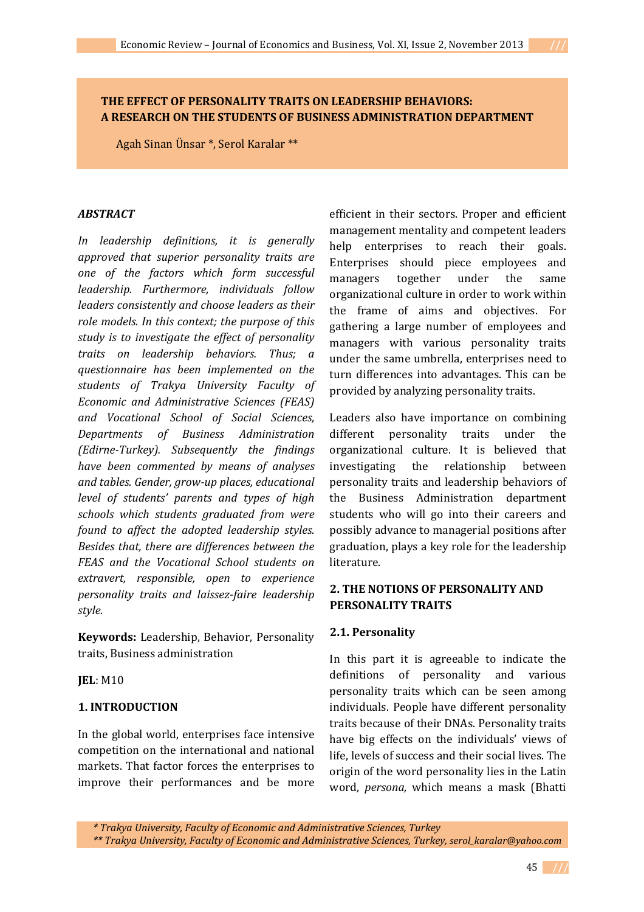## **THE EFFECT OF PERSONALITY TRAITS ON LEADERSHIP BEHAVIORS: A RESEARCH ON THE STUDENTS OF BUSINESS ADMINISTRATION DEPARTMENT**

Agah Sinan Ünsar \*, Serol Karalar \*\*

#### *ABSTRACT*

*In leadership definitions, it is generally approved that superior personality traits are one of the factors which form successful leadership. Furthermore, individuals follow leaders consistently and choose leaders as their role models. In this context; the purpose of this study is to investigate the effect of personality traits on leadership behaviors. Thus; a questionnaire has been implemented on the students of Trakya University Faculty of Economic and Administrative Sciences (FEAS) and Vocational School of Social Sciences, Departments of Business Administration (Edirne-Turkey). Subsequently the findings have been commented by means of analyses and tables. Gender, grow-up places, educational level of students' parents and types of high schools which students graduated from were found to affect the adopted leadership styles. Besides that, there are differences between the FEAS and the Vocational School students on extravert, responsible, open to experience personality traits and laissez-faire leadership style.* 

**Keywords:** Leadership, Behavior, Personality traits, Business administration

**JEL**: M10

## **1. INTRODUCTION**

In the global world, enterprises face intensive competition on the international and national markets. That factor forces the enterprises to improve their performances and be more

efficient in their sectors. Proper and efficient management mentality and competent leaders help enterprises to reach their goals. Enterprises should piece employees and managers together under the same organizational culture in order to work within the frame of aims and objectives. For gathering a large number of employees and managers with various personality traits under the same umbrella, enterprises need to turn differences into advantages. This can be provided by analyzing personality traits.

Leaders also have importance on combining different personality traits under the organizational culture. It is believed that investigating the relationship between personality traits and leadership behaviors of the Business Administration department students who will go into their careers and possibly advance to managerial positions after graduation, plays a key role for the leadership literature.

## **2. THE NOTIONS OF PERSONALITY AND PERSONALITY TRAITS**

#### **2.1. Personality**

In this part it is agreeable to indicate the definitions of personality and various personality traits which can be seen among individuals. People have different personality traits because of their DNAs. Personality traits have big effects on the individuals' views of life, levels of success and their social lives. The origin of the word personality lies in the Latin word, *persona,* which means a mask (Bhatti

*<sup>\*</sup> Trakya University, Faculty of Economic and Administrative Sciences, Turkey \*\* Trakya University, Faculty of Economic and Administrative Sciences, Turkey, serol\_karalar@yahoo.com*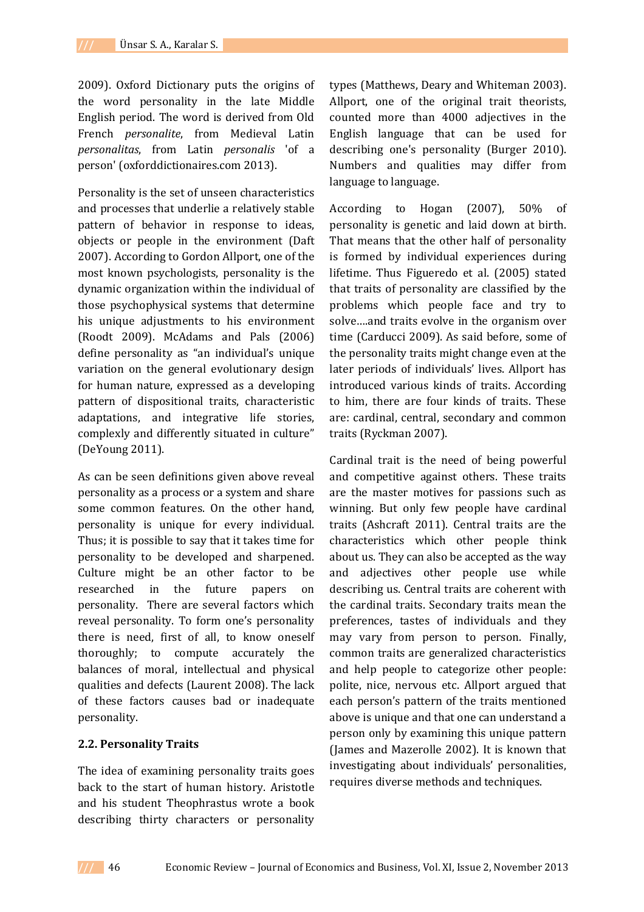2009). Oxford Dictionary puts the origins of the word personality in the late Middle English period. The word is derived from Old French *personalite*, from Medieval Latin *personalitas*, from Latin *personalis* 'of a person' (oxforddictionaires.com 2013).

Personality is the set of unseen characteristics and processes that underlie a relatively stable pattern of behavior in response to ideas, objects or people in the environment (Daft 2007). According to Gordon Allport, one of the most known psychologists, personality is the dynamic organization within the individual of those psychophysical systems that determine his unique adjustments to his environment (Roodt 2009). McAdams and Pals (2006) define personality as "an individual's unique variation on the general evolutionary design for human nature, expressed as a developing pattern of dispositional traits, characteristic adaptations, and integrative life stories, complexly and differently situated in culture" (DeYoung 2011).

As can be seen definitions given above reveal personality as a process or a system and share some common features. On the other hand, personality is unique for every individual. Thus; it is possible to say that it takes time for personality to be developed and sharpened. Culture might be an other factor to be researched in the future papers on personality. There are several factors which reveal personality. To form one's personality there is need, first of all, to know oneself thoroughly; to compute accurately the balances of moral, intellectual and physical qualities and defects (Laurent 2008). The lack of these factors causes bad or inadequate personality.

#### **2.2. Personality Traits**

The idea of examining personality traits goes back to the start of human history. Aristotle and his student Theophrastus wrote a book describing thirty characters or personality

types (Matthews, Deary and Whiteman 2003). Allport, one of the original trait theorists, counted more than 4000 adjectives in the English language that can be used for describing one's personality (Burger 2010). Numbers and qualities may differ from language to language.

According to Hogan (2007), 50% of personality is genetic and laid down at birth. That means that the other half of personality is formed by individual experiences during lifetime. Thus Figueredo et al. (2005) stated that traits of personality are classified by the problems which people face and try to solve….and traits evolve in the organism over time (Carducci 2009). As said before, some of the personality traits might change even at the later periods of individuals' lives. Allport has introduced various kinds of traits. According to him, there are four kinds of traits. These are: cardinal, central, secondary and common traits (Ryckman 2007).

Cardinal trait is the need of being powerful and competitive against others. These traits are the master motives for passions such as winning. But only few people have cardinal traits (Ashcraft 2011). Central traits are the characteristics which other people think about us. They can also be accepted as the way and adjectives other people use while describing us. Central traits are coherent with the cardinal traits. Secondary traits mean the preferences, tastes of individuals and they may vary from person to person. Finally, common traits are generalized characteristics and help people to categorize other people: polite, nice, nervous etc. Allport argued that each person's pattern of the traits mentioned above is unique and that one can understand a person only by examining this unique pattern (James and Mazerolle 2002). It is known that investigating about individuals' personalities, requires diverse methods and techniques.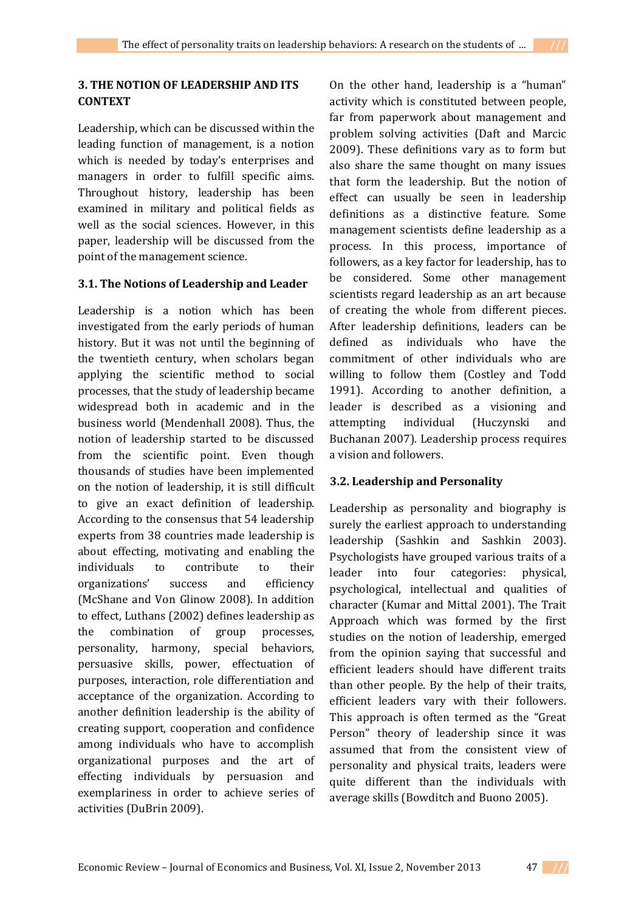# **3. THE NOTION OF LEADERSHIP AND ITS CONTEXT**

Leadership, which can be discussed within the leading function of management, is a notion which is needed by today's enterprises and managers in order to fulfill specific aims. Throughout history, leadership has been examined in military and political fields as well as the social sciences. However, in this paper, leadership will be discussed from the point of the management science.

## **3.1. The Notions of Leadership and Leader**

Leadership is a notion which has been investigated from the early periods of human history. But it was not until the beginning of the twentieth century, when scholars began applying the scientific method to social processes, that the study of leadership became widespread both in academic and in the business world (Mendenhall 2008). Thus, the notion of leadership started to be discussed from the scientific point. Even though thousands of studies have been implemented on the notion of leadership, it is still difficult to give an exact definition of leadership. According to the consensus that 54 leadership experts from 38 countries made leadership is about effecting, motivating and enabling the individuals to contribute to their organizations' success and efficiency (McShane and Von Glinow 2008). In addition to effect, Luthans (2002) defines leadership as the combination of group processes, personality, harmony, special behaviors, persuasive skills, power, effectuation of purposes, interaction, role differentiation and acceptance of the organization. According to another definition leadership is the ability of creating support, cooperation and confidence among individuals who have to accomplish organizational purposes and the art of effecting individuals by persuasion and exemplariness in order to achieve series of activities (DuBrin 2009).

On the other hand, leadership is a "human" activity which is constituted between people, far from paperwork about management and problem solving activities (Daft and Marcic 2009). These definitions vary as to form but also share the same thought on many issues that form the leadership. But the notion of effect can usually be seen in leadership definitions as a distinctive feature. Some management scientists define leadership as a process. In this process, importance of followers, as a key factor for leadership, has to be considered. Some other management scientists regard leadership as an art because of creating the whole from different pieces. After leadership definitions, leaders can be defined as individuals who have the commitment of other individuals who are willing to follow them (Costley and Todd 1991). According to another definition, a leader is described as a visioning and attempting individual (Huczynski and Buchanan 2007). Leadership process requires a vision and followers.

## **3.2. Leadership and Personality**

Leadership as personality and biography is surely the earliest approach to understanding leadership (Sashkin and Sashkin 2003). Psychologists have grouped various traits of a leader into four categories: physical, psychological, intellectual and qualities of character (Kumar and Mittal 2001). The Trait Approach which was formed by the first studies on the notion of leadership, emerged from the opinion saying that successful and efficient leaders should have different traits than other people. By the help of their traits, efficient leaders vary with their followers. This approach is often termed as the "Great Person" theory of leadership since it was assumed that from the consistent view of personality and physical traits, leaders were quite different than the individuals with average skills (Bowditch and Buono 2005).

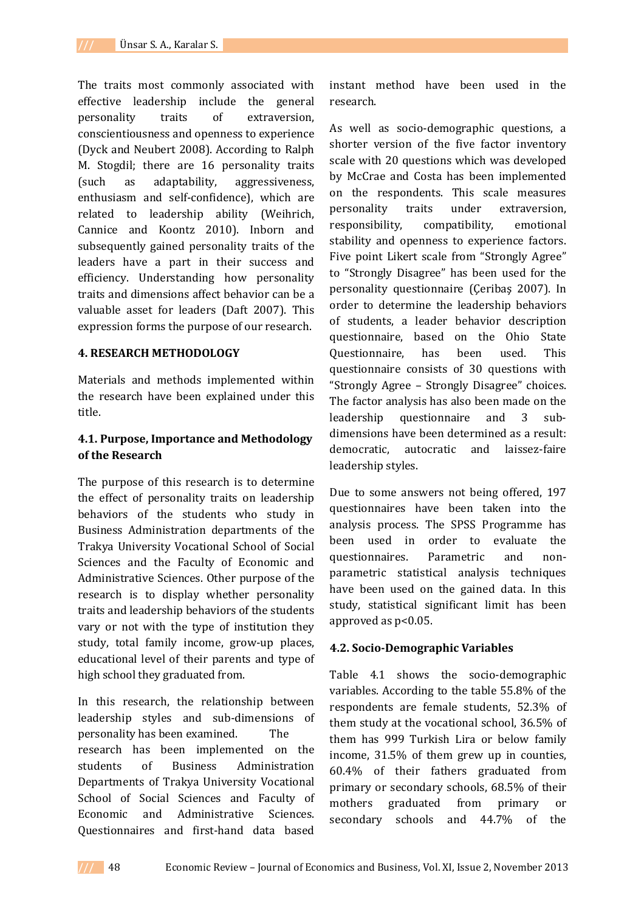The traits most commonly associated with effective leadership include the general personality traits of extraversion, conscientiousness and openness to experience (Dyck and Neubert 2008). According to Ralph M. Stogdil; there are 16 personality traits (such as adaptability, aggressiveness, enthusiasm and self-confidence), which are related to leadership ability (Weihrich, Cannice and Koontz 2010). Inborn and subsequently gained personality traits of the leaders have a part in their success and efficiency. Understanding how personality traits and dimensions affect behavior can be a valuable asset for leaders (Daft 2007). This expression forms the purpose of our research.

#### **4. RESEARCH METHODOLOGY**

Materials and methods implemented within the research have been explained under this title.

## **4.1. Purpose, Importance and Methodology of the Research**

The purpose of this research is to determine the effect of personality traits on leadership behaviors of the students who study in Business Administration departments of the Trakya University Vocational School of Social Sciences and the Faculty of Economic and Administrative Sciences. Other purpose of the research is to display whether personality traits and leadership behaviors of the students vary or not with the type of institution they study, total family income, grow-up places, educational level of their parents and type of high school they graduated from.

In this research, the relationship between leadership styles and sub-dimensions of personality has been examined. The research has been implemented on the students of Business Administration Departments of Trakya University Vocational School of Social Sciences and Faculty of Economic and Administrative Sciences. Questionnaires and first-hand data based

instant method have been used in the research.

As well as socio-demographic questions, a shorter version of the five factor inventory scale with 20 questions which was developed by McCrae and Costa has been implemented on the respondents. This scale measures personality traits under extraversion, responsibility, compatibility, emotional stability and openness to experience factors. Five point Likert scale from "Strongly Agree" to "Strongly Disagree" has been used for the personality questionnaire (Çeribaş 2007). In order to determine the leadership behaviors of students, a leader behavior description questionnaire, based on the Ohio State Questionnaire, has been used. This questionnaire consists of 30 questions with "Strongly Agree – Strongly Disagree" choices. The factor analysis has also been made on the leadership questionnaire and 3 subdimensions have been determined as a result: democratic, autocratic and laissez-faire leadership styles.

Due to some answers not being offered, 197 questionnaires have been taken into the analysis process. The SPSS Programme has been used in order to evaluate the questionnaires. Parametric and nonparametric statistical analysis techniques have been used on the gained data. In this study, statistical significant limit has been approved as p<0.05.

#### **4.2. Socio-Demographic Variables**

Table 4.1 shows the socio-demographic variables. According to the table 55.8% of the respondents are female students, 52.3% of them study at the vocational school, 36.5% of them has 999 Turkish Lira or below family income, 31.5% of them grew up in counties, 60.4% of their fathers graduated from primary or secondary schools, 68.5% of their mothers graduated from primary or secondary schools and 44.7% of the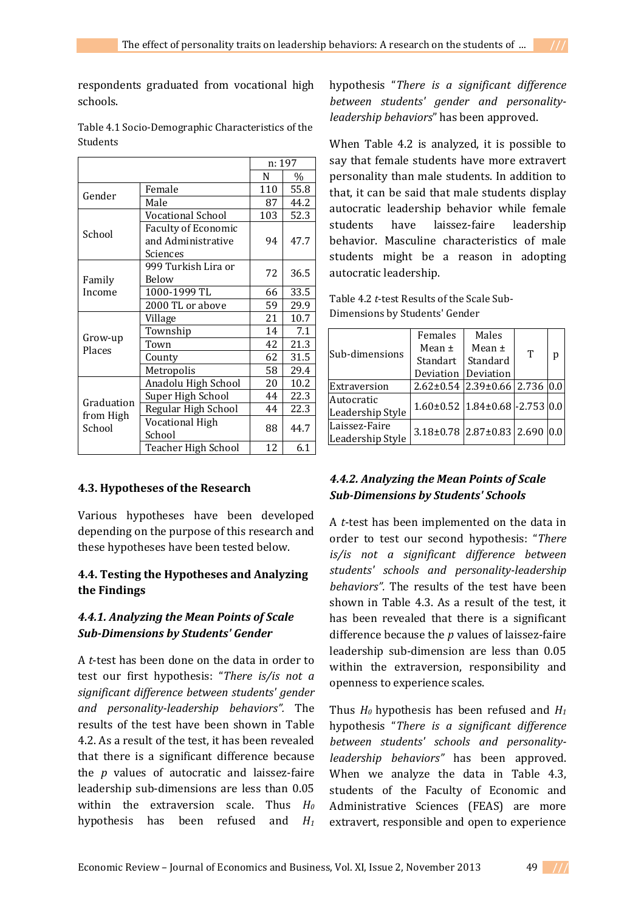respondents graduated from vocational high schools.

|                     |                            | n: 197 |      |  |
|---------------------|----------------------------|--------|------|--|
|                     |                            | N      | $\%$ |  |
| Gender              | Female                     | 110    | 55.8 |  |
|                     | Male                       | 87     | 44.2 |  |
|                     | Vocational School          | 103    | 52.3 |  |
|                     | <b>Faculty of Economic</b> |        |      |  |
| School              | and Administrative         | 94     | 47.7 |  |
|                     | Sciences                   |        |      |  |
|                     | 999 Turkish Lira or        | 72     | 36.5 |  |
| Family              | Below                      |        |      |  |
| Income              | 1000-1999 TL               | 66     | 33.5 |  |
|                     | 2000 TL or above           | 59     | 29.9 |  |
|                     | Village                    | 21     | 10.7 |  |
|                     | Township                   | 14     | 7.1  |  |
| Grow-up<br>Places   | Town                       | 42     | 21.3 |  |
|                     | County                     | 62     | 31.5 |  |
|                     | Metropolis                 | 58     | 29.4 |  |
|                     | Anadolu High School        | 20     | 10.2 |  |
|                     | Super High School          | 44     | 22.3 |  |
| Graduation          | Regular High School        | 44     | 22.3 |  |
| from High<br>School | Vocational High            | 88     | 44.7 |  |
|                     | School                     |        |      |  |
|                     | Teacher High School        | 12     | 6.1  |  |

Table 4.1 Socio-Demographic Characteristics of the Students

#### **4.3. Hypotheses of the Research**

Various hypotheses have been developed depending on the purpose of this research and these hypotheses have been tested below.

## **4.4. Testing the Hypotheses and Analyzing the Findings**

## *4.4.1. Analyzing the Mean Points of Scale Sub-Dimensions by Students' Gender*

A *t*-test has been done on the data in order to test our first hypothesis: "*There is/is not a significant difference between students' gender and personality-leadership behaviors".* The results of the test have been shown in Table 4.2. As a result of the test, it has been revealed that there is a significant difference because the *p* values of autocratic and laissez-faire leadership sub-dimensions are less than 0.05 within the extraversion scale. Thus *H<sup>0</sup>* hypothesis has been refused and *H<sup>1</sup>*

hypothesis "*There is a significant difference between students' gender and personalityleadership behaviors*" has been approved.

When Table 4.2 is analyzed, it is possible to say that female students have more extravert personality than male students. In addition to that, it can be said that male students display autocratic leadership behavior while female students have laissez-faire leadership behavior. Masculine characteristics of male students might be a reason in adopting autocratic leadership.

Table 4.2 *t*-test Results of the Scale Sub-Dimensions by Students' Gender

|                  | Females                                      | Males      |   |   |
|------------------|----------------------------------------------|------------|---|---|
| Sub-dimensions   | Mean $\pm$                                   | Mean $\pm$ | T |   |
|                  | Standart                                     | Standard   |   | р |
|                  | Deviation                                    | Deviation  |   |   |
| Extraversion     | $2.62 \pm 0.54$ 2.39 $\pm 0.66$ 2.736 0.0    |            |   |   |
| Autocratic       | $1.60\pm0.52$   $1.84\pm0.68$   -2.753   0.0 |            |   |   |
| Leadership Style |                                              |            |   |   |
| Laissez-Faire    | $3.18\pm0.78$ 2.87 $\pm0.83$ 2.690 0.0       |            |   |   |
| Leadership Style |                                              |            |   |   |

# *4.4.2. Analyzing the Mean Points of Scale Sub-Dimensions by Students' Schools*

A *t*-test has been implemented on the data in order to test our second hypothesis: "*There is/is not a significant difference between students' schools and personality-leadership behaviors".* The results of the test have been shown in Table 4.3. As a result of the test, it has been revealed that there is a significant difference because the *p* values of laissez-faire leadership sub-dimension are less than 0.05 within the extraversion, responsibility and openness to experience scales.

Thus  $H_0$  hypothesis has been refused and  $H_1$ hypothesis "*There is a significant difference between students' schools and personalityleadership behaviors"* has been approved. When we analyze the data in Table 4.3, students of the Faculty of Economic and Administrative Sciences (FEAS) are more extravert, responsible and open to experience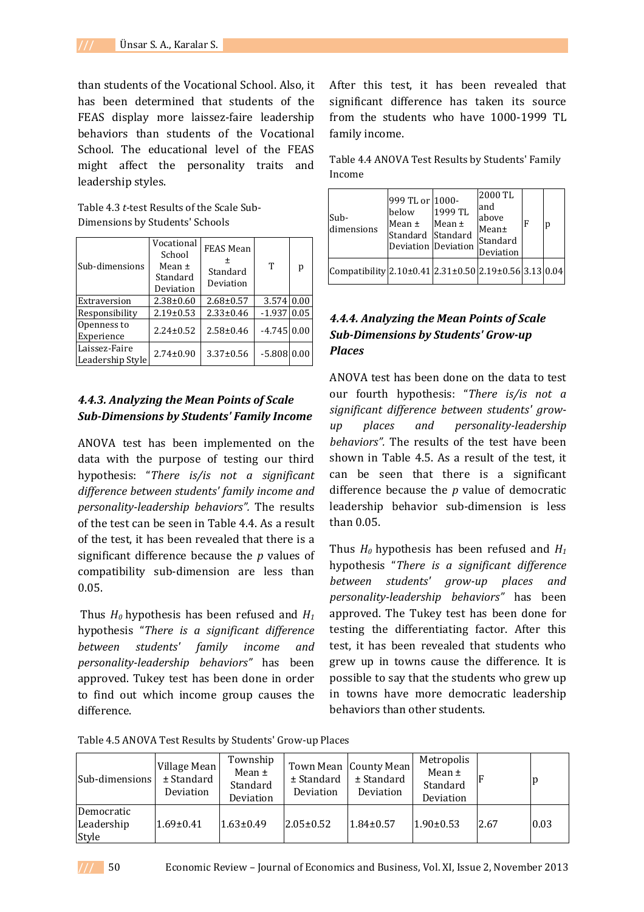than students of the Vocational School. Also, it has been determined that students of the FEAS display more laissez-faire leadership behaviors than students of the Vocational School. The educational level of the FEAS might affect the personality traits and leadership styles.

Table 4.3 *t*-test Results of the Scale Sub-Dimensions by Students' Schools

| Sub-dimensions                    | Vocational<br>School<br>Mean $\pm$<br>Standard<br>Deviation | FEAS Mean<br>Standard<br>Deviation | T             | p    |
|-----------------------------------|-------------------------------------------------------------|------------------------------------|---------------|------|
| Extraversion                      | $2.38 \pm 0.60$                                             | $2.68 \pm 0.57$                    | 3.574         | 0.00 |
| Responsibility                    | $2.19 \pm 0.53$                                             | $2.33 \pm 0.46$                    | $-1.937$      | 0.05 |
| Openness to<br>Experience         | $2.24 \pm 0.52$                                             | $2.58 \pm 0.46$                    | $-4.745$ 0.00 |      |
| Laissez-Faire<br>Leadership Style | $2.74 \pm 0.90$                                             | $3.37 \pm 0.56$                    | $-5.808$      | 0.00 |

## *4.4.3. Analyzing the Mean Points of Scale Sub-Dimensions by Students' Family Income*

ANOVA test has been implemented on the data with the purpose of testing our third hypothesis: "*There is/is not a significant difference between students' family income and personality-leadership behaviors".* The results of the test can be seen in Table 4.4. As a result of the test, it has been revealed that there is a significant difference because the *p* values of compatibility sub-dimension are less than 0.05.

 Thus *H0* hypothesis has been refused and *H<sup>1</sup>* hypothesis "*There is a significant difference between students' family income and personality-leadership behaviors"* has been approved. Tukey test has been done in order to find out which income group causes the difference.

After this test, it has been revealed that significant difference has taken its source from the students who have 1000-1999 TL family income.

Table 4.4 ANOVA Test Results by Students' Family Income

| Sub-<br>dimensions                                                          | 999 TL or 1000-<br>below<br>Mean $\pm$<br>Standard Standard<br>Deviation Deviation | 1999 TL<br>Mean $\pm$ | 2000 TL<br>and<br>above<br>Mean±<br>Standard<br>Deviation | F | p |
|-----------------------------------------------------------------------------|------------------------------------------------------------------------------------|-----------------------|-----------------------------------------------------------|---|---|
| Compatibility $2.10 \pm 0.41$ $2.31 \pm 0.50$ $2.19 \pm 0.56$ $3.13$ $0.04$ |                                                                                    |                       |                                                           |   |   |

# *4.4.4. Analyzing the Mean Points of Scale Sub-Dimensions by Students' Grow-up Places*

ANOVA test has been done on the data to test our fourth hypothesis: "*There is/is not a significant difference between students' growup places and personality-leadership behaviors".* The results of the test have been shown in Table 4.5. As a result of the test, it can be seen that there is a significant difference because the *p* value of democratic leadership behavior sub-dimension is less than 0.05.

Thus  $H_0$  hypothesis has been refused and  $H_1$ hypothesis "*There is a significant difference between students' grow-up places and personality-leadership behaviors"* has been approved. The Tukey test has been done for testing the differentiating factor. After this test, it has been revealed that students who grew up in towns cause the difference. It is possible to say that the students who grew up in towns have more democratic leadership behaviors than other students.

Table 4.5 ANOVA Test Results by Students' Grow-up Places

| Sub-dimensions                    | Village Mean<br>$±$ Standard<br>Deviation | Township<br>Mean $\pm$<br>Standard<br>Deviation | $±$ Standard<br>Deviation | Town Mean County Mean<br>$±$ Standard<br>Deviation | Metropolis<br>Mean $\pm$<br>Standard<br>Deviation |      | p    |
|-----------------------------------|-------------------------------------------|-------------------------------------------------|---------------------------|----------------------------------------------------|---------------------------------------------------|------|------|
| Democratic<br>Leadership<br>Style | $1.69 \pm 0.41$                           | $1.63 \pm 0.49$                                 | $2.05 \pm 0.52$           | $1.84 \pm 0.57$                                    | $1.90 \pm 0.53$                                   | 2.67 | 0.03 |

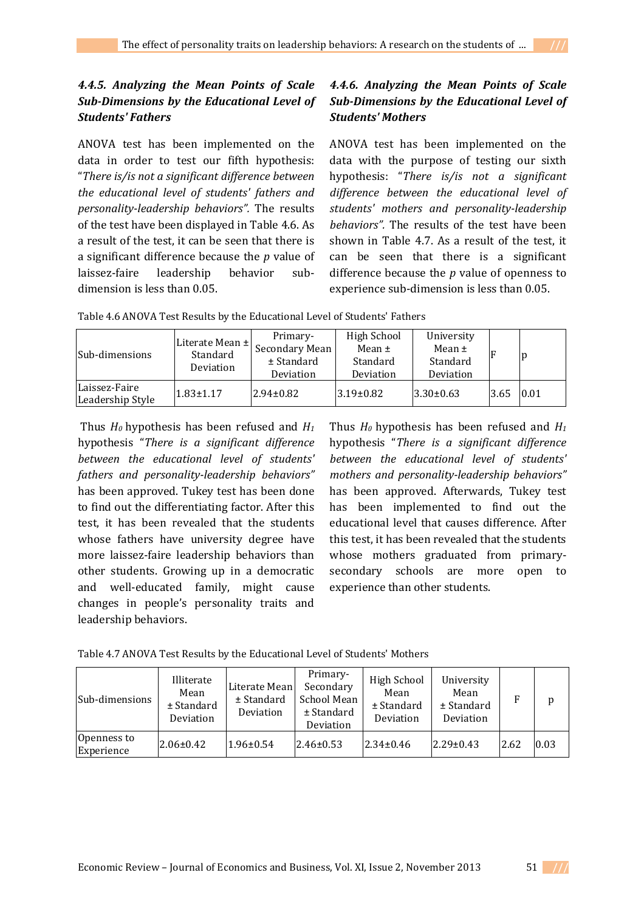# *4.4.5. Analyzing the Mean Points of Scale Sub-Dimensions by the Educational Level of Students' Fathers*

ANOVA test has been implemented on the data in order to test our fifth hypothesis: "*There is/is not a significant difference between the educational level of students' fathers and personality-leadership behaviors".* The results of the test have been displayed in Table 4.6. As a result of the test, it can be seen that there is a significant difference because the *p* value of laissez-faire leadership behavior subdimension is less than 0.05.

# *4.4.6. Analyzing the Mean Points of Scale Sub-Dimensions by the Educational Level of Students' Mothers*

ANOVA test has been implemented on the data with the purpose of testing our sixth hypothesis: "*There is/is not a significant difference between the educational level of students' mothers and personality-leadership behaviors".* The results of the test have been shown in Table 4.7. As a result of the test, it can be seen that there is a significant difference because the *p* value of openness to experience sub-dimension is less than 0.05.

|  | Table 4.6 ANOVA Test Results by the Educational Level of Students' Fathers |  |
|--|----------------------------------------------------------------------------|--|
|--|----------------------------------------------------------------------------|--|

| Sub-dimensions                    | Literate Mean ±<br>Standard<br>Deviation | Primary-<br>Secondary Mean<br>± Standard<br>Deviation | High School<br>Mean $\pm$<br>Standard<br>Deviation | University<br>Mean $\pm$<br>Standard<br>Deviation |      | p    |
|-----------------------------------|------------------------------------------|-------------------------------------------------------|----------------------------------------------------|---------------------------------------------------|------|------|
| Laissez-Faire<br>Leadership Style | $1.83 \pm 1.17$                          | $2.94 \pm 0.82$                                       | $3.19 \pm 0.82$                                    | $3.30 \pm 0.63$                                   | 3.65 | 0.01 |

 Thus *H0* hypothesis has been refused and *H<sup>1</sup>* hypothesis "*There is a significant difference between the educational level of students' fathers and personality-leadership behaviors"*  has been approved. Tukey test has been done to find out the differentiating factor. After this test, it has been revealed that the students whose fathers have university degree have more laissez-faire leadership behaviors than other students. Growing up in a democratic and well-educated family, might cause changes in people's personality traits and leadership behaviors.

Thus *H0* hypothesis has been refused and *H<sup>1</sup>* hypothesis "*There is a significant difference between the educational level of students' mothers and personality-leadership behaviors"*  has been approved. Afterwards, Tukey test has been implemented to find out the educational level that causes difference. After this test, it has been revealed that the students whose mothers graduated from primarysecondary schools are more open to experience than other students.

| Table 4.7 ANOVA Test Results by the Educational Level of Students' Mothers |
|----------------------------------------------------------------------------|
|----------------------------------------------------------------------------|

| Sub-dimensions            | Illiterate<br>Mean<br>$±$ Standard<br>Deviation | Literate Mean<br>$±$ Standard<br>Deviation | Primary-<br>Secondary<br>School Mean<br>$±$ Standard<br>Deviation | <b>High School</b><br>Mean<br>$±$ Standard<br>Deviation | University<br>Mean<br>$±$ Standard<br>Deviation |      | p    |
|---------------------------|-------------------------------------------------|--------------------------------------------|-------------------------------------------------------------------|---------------------------------------------------------|-------------------------------------------------|------|------|
| Openness to<br>Experience | $2.06 \pm 0.42$                                 | $1.96 \pm 0.54$                            | $2.46 \pm 0.53$                                                   | $2.34 \pm 0.46$                                         | $2.29 \pm 0.43$                                 | 2.62 | 0.03 |

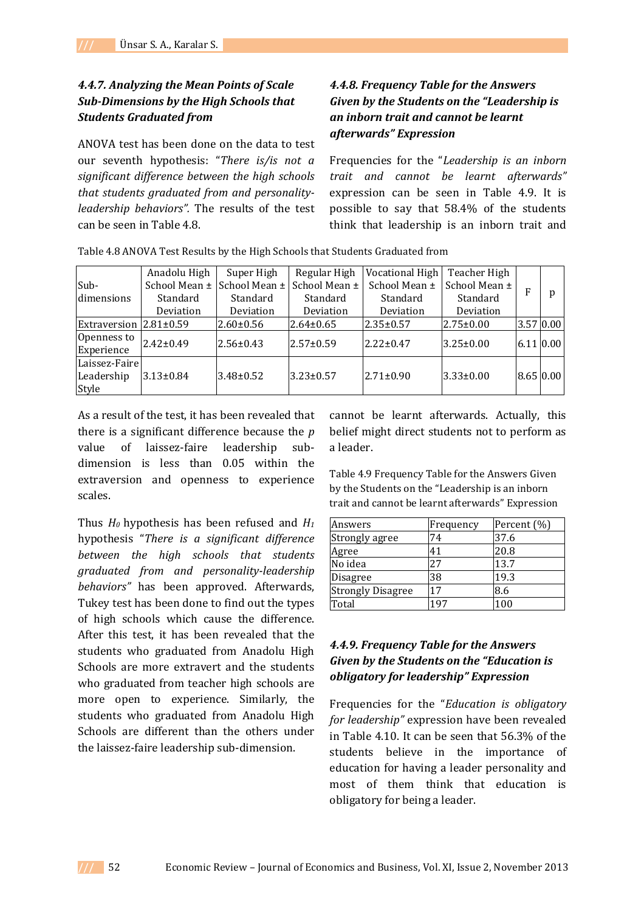# *4.4.7. Analyzing the Mean Points of Scale Sub-Dimensions by the High Schools that Students Graduated from*

ANOVA test has been done on the data to test our seventh hypothesis: "*There is/is not a significant difference between the high schools that students graduated from and personalityleadership behaviors".* The results of the test can be seen in Table 4.8.

# *4.4.8. Frequency Table for the Answers Given by the Students on the "Leadership is an inborn trait and cannot be learnt afterwards" Expression*

Frequencies for the "*Leadership is an inborn trait and cannot be learnt afterwards"*  expression can be seen in Table 4.9. It is possible to say that 58.4% of the students think that leadership is an inborn trait and

|                                      | Anadolu High    | Super High      | Regular High    | Vocational High | Teacher High    |   |           |
|--------------------------------------|-----------------|-----------------|-----------------|-----------------|-----------------|---|-----------|
| Sub-                                 | School Mean ±   | School Mean ±   | School Mean ±   | School Mean ±   | School Mean ±   | F |           |
| dimensions                           | Standard        | Standard        | Standard        | Standard        | Standard        |   | p         |
|                                      | Deviation       | Deviation       | Deviation       | Deviation       | Deviation       |   |           |
| Extraversion $12.81\pm0.59$          |                 | $2.60 \pm 0.56$ | $2.64 \pm 0.65$ | l2.35±0.57      | $2.75 \pm 0.00$ |   | 3.57 0.00 |
| Openness to<br>Experience            | $2.42 \pm 0.49$ | $2.56 \pm 0.43$ | $2.57 \pm 0.59$ | $2.22 \pm 0.47$ | $3.25 \pm 0.00$ |   | 6.11 0.00 |
| Laissez-Faire<br>Leadership<br>Style | $3.13 \pm 0.84$ | 3.48±0.52       | $3.23 \pm 0.57$ | $2.71 \pm 0.90$ | $3.33 \pm 0.00$ |   | 8.65 0.00 |

Table 4.8 ANOVA Test Results by the High Schools that Students Graduated from

As a result of the test, it has been revealed that there is a significant difference because the *p* value of laissez-faire leadership subdimension is less than 0.05 within the extraversion and openness to experience scales.

Thus *H0* hypothesis has been refused and *H<sup>1</sup>* hypothesis "*There is a significant difference between the high schools that students graduated from and personality-leadership behaviors"* has been approved. Afterwards, Tukey test has been done to find out the types of high schools which cause the difference. After this test, it has been revealed that the students who graduated from Anadolu High Schools are more extravert and the students who graduated from teacher high schools are more open to experience. Similarly, the students who graduated from Anadolu High Schools are different than the others under the laissez-faire leadership sub-dimension.

cannot be learnt afterwards. Actually, this belief might direct students not to perform as a leader.

Table 4.9 Frequency Table for the Answers Given by the Students on the "Leadership is an inborn trait and cannot be learnt afterwards" Expression

| Answers                  | Frequency | Percent (%) |
|--------------------------|-----------|-------------|
| Strongly agree           | 74        | 37.6        |
| Agree                    | 41        | 20.8        |
| No idea                  | 27        | 13.7        |
| <b>Disagree</b>          | 38        | 19.3        |
| <b>Strongly Disagree</b> | 17        | 8.6         |
| Total                    | 197       | 100         |

# *4.4.9. Frequency Table for the Answers Given by the Students on the "Education is obligatory for leadership" Expression*

Frequencies for the "*Education is obligatory for leadership"* expression have been revealed in Table 4.10. It can be seen that 56.3% of the students believe in the importance of education for having a leader personality and most of them think that education is obligatory for being a leader.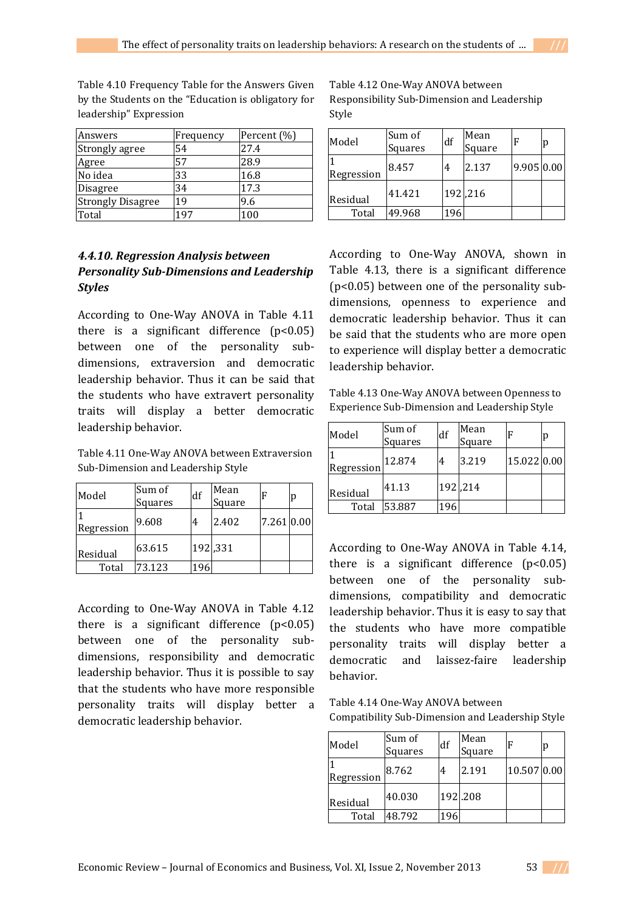Table 4.10 Frequency Table for the Answers Given by the Students on the "Education is obligatory for leadership" Expression

| Answers                  | Frequency | Percent (%) |
|--------------------------|-----------|-------------|
| Strongly agree           | 54        | 27.4        |
| Agree                    | 57        | 28.9        |
| No idea                  | 33        | 16.8        |
| Disagree                 | 34        | 17.3        |
| <b>Strongly Disagree</b> | 19        | 9.6         |
| Total                    | 197       | 100         |

# *4.4.10. Regression Analysis between Personality Sub-Dimensions and Leadership Styles*

According to One-Way ANOVA in Table 4.11 there is a significant difference  $(p<0.05)$ between one of the personality subdimensions, extraversion and democratic leadership behavior. Thus it can be said that the students who have extravert personality traits will display a better democratic leadership behavior.

Table 4.11 One-Way ANOVA between Extraversion Sub-Dimension and Leadership Style

| Model      | Sum of<br>Squares | df  | Mean<br>Square | .F         | p |
|------------|-------------------|-----|----------------|------------|---|
| Regression | 9.608             | 4   | 2.402          | 7.261 0.00 |   |
| Residual   | 63.615            |     | 192,331        |            |   |
| Total      | 73.123            | 196 |                |            |   |

According to One-Way ANOVA in Table 4.12 there is a significant difference  $(p<0.05)$ between one of the personality subdimensions, responsibility and democratic leadership behavior. Thus it is possible to say that the students who have more responsible personality traits will display better a democratic leadership behavior.

Table 4.12 One-Way ANOVA between Responsibility Sub-Dimension and Leadership Style

| Model      | Sum of<br>Squares | df  | Mean<br>Square |            | p |
|------------|-------------------|-----|----------------|------------|---|
| Regression | 8.457             | 4   | 2.137          | 9.905 0.00 |   |
| Residual   | 41.421            |     | 192,216        |            |   |
| Total      | 49.968            | 196 |                |            |   |

According to One-Way ANOVA, shown in Table 4.13, there is a significant difference (p<0.05) between one of the personality subdimensions, openness to experience and democratic leadership behavior. Thus it can be said that the students who are more open to experience will display better a democratic leadership behavior.

Table 4.13 One-Way ANOVA between Openness to Experience Sub-Dimension and Leadership Style

| Model      | Sum of<br>Squares | df  | Mean<br>Square |             | р |
|------------|-------------------|-----|----------------|-------------|---|
| Regression | 12.874            | 4   | 3.219          | 15.022 0.00 |   |
| Residual   | 41.13             |     | 192,214        |             |   |
| Total      | 53.887            | 196 |                |             |   |

According to One-Way ANOVA in Table 4.14, there is a significant difference  $(p<0.05)$ between one of the personality subdimensions, compatibility and democratic leadership behavior. Thus it is easy to say that the students who have more compatible personality traits will display better a democratic and laissez-faire leadership behavior.

Table 4.14 One-Way ANOVA between Compatibility Sub-Dimension and Leadership Style

| Model      | Sum of<br>Squares | df  | Mean<br>Square |             | р |
|------------|-------------------|-----|----------------|-------------|---|
| Regression | 8.762             | 4   | 2.191          | 10.507 0.00 |   |
| Residual   | 40.030            |     | 192.208        |             |   |
| Total      | 48.792            | 196 |                |             |   |

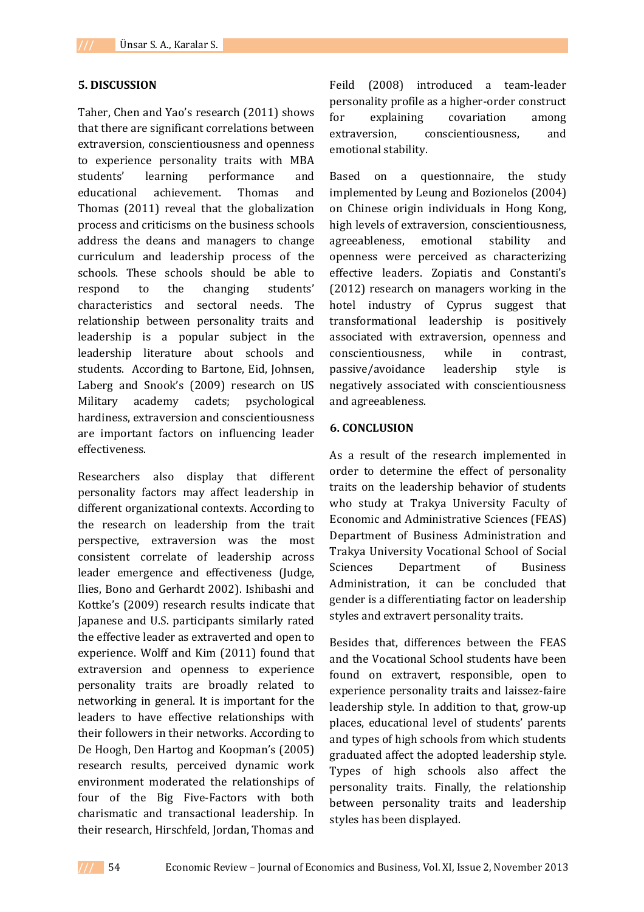#### **5. DISCUSSION**

Taher, Chen and Yao's research (2011) shows that there are significant correlations between extraversion, conscientiousness and openness to experience personality traits with MBA students' learning performance and educational achievement. Thomas and Thomas (2011) reveal that the globalization process and criticisms on the business schools address the deans and managers to change curriculum and leadership process of the schools. These schools should be able to respond to the changing students' characteristics and sectoral needs. The relationship between personality traits and leadership is a popular subject in the leadership literature about schools and students. According to Bartone, Eid, Johnsen, Laberg and Snook's (2009) research on US Military academy cadets; psychological hardiness, extraversion and conscientiousness are important factors on influencing leader effectiveness.

Researchers also display that different personality factors may affect leadership in different organizational contexts. According to the research on leadership from the trait perspective, extraversion was the most consistent correlate of leadership across leader emergence and effectiveness (Judge, Ilies, Bono and Gerhardt 2002). Ishibashi and Kottke's (2009) research results indicate that Japanese and U.S. participants similarly rated the effective leader as extraverted and open to experience. Wolff and Kim (2011) found that extraversion and openness to experience personality traits are broadly related to networking in general. It is important for the leaders to have effective relationships with their followers in their networks. According to De Hoogh, Den Hartog and Koopman's (2005) research results, perceived dynamic work environment moderated the relationships of four of the Big Five-Factors with both charismatic and transactional leadership. In their research, Hirschfeld, Jordan, Thomas and

Feild (2008) introduced a team-leader personality profile as a higher-order construct for explaining covariation among extraversion, conscientiousness, and emotional stability.

Based on a questionnaire, the study implemented by Leung and Bozionelos (2004) on Chinese origin individuals in Hong Kong, high levels of extraversion, conscientiousness, agreeableness, emotional stability and openness were perceived as characterizing effective leaders. Zopiatis and Constanti's (2012) research on managers working in the hotel industry of Cyprus suggest that transformational leadership is positively associated with extraversion, openness and conscientiousness, while in contrast, passive/avoidance leadership style is negatively associated with conscientiousness and agreeableness.

#### **6. CONCLUSION**

As a result of the research implemented in order to determine the effect of personality traits on the leadership behavior of students who study at Trakya University Faculty of Economic and Administrative Sciences (FEAS) Department of Business Administration and Trakya University Vocational School of Social Sciences Department of Business Administration, it can be concluded that gender is a differentiating factor on leadership styles and extravert personality traits.

Besides that, differences between the FEAS and the Vocational School students have been found on extravert, responsible, open to experience personality traits and laissez-faire leadership style. In addition to that, grow-up places, educational level of students' parents and types of high schools from which students graduated affect the adopted leadership style. Types of high schools also affect the personality traits. Finally, the relationship between personality traits and leadership styles has been displayed.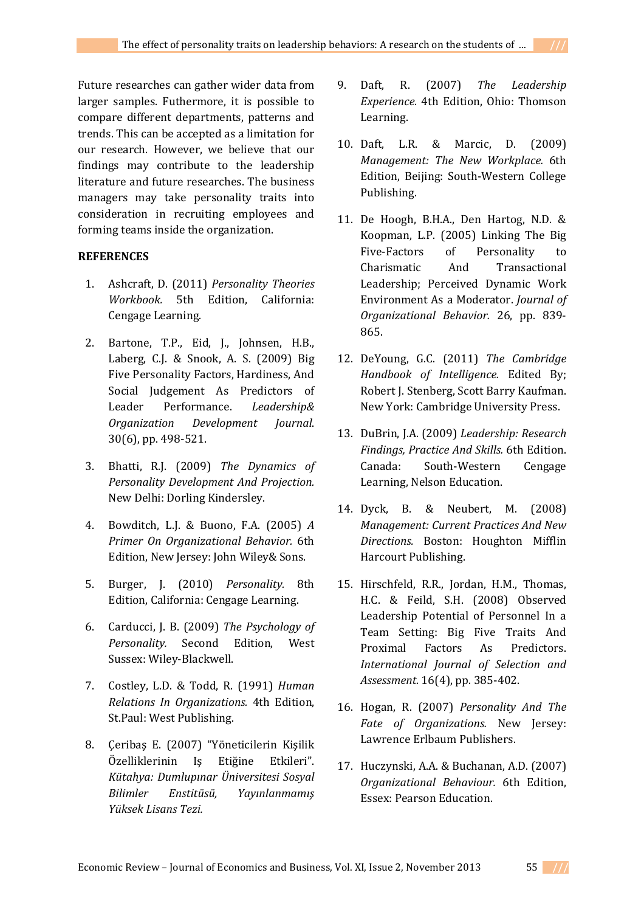Future researches can gather wider data from larger samples. Futhermore, it is possible to compare different departments, patterns and trends. This can be accepted as a limitation for our research. However, we believe that our findings may contribute to the leadership literature and future researches. The business managers may take personality traits into consideration in recruiting employees and forming teams inside the organization.

### **REFERENCES**

- 1. Ashcraft, D. (2011) *Personality Theories Workbook.* 5th Edition, California: Cengage Learning.
- 2. Bartone, T.P., Eid, J., Johnsen, H.B., Laberg, C.J. & Snook, A. S. (2009) Big Five Personality Factors, Hardiness, And Social Judgement As Predictors of Leader Performance. *Leadership& Organization Development Journal*. 30(6), pp. 498-521.
- 3. Bhatti, R.J. (2009) *The Dynamics of Personality Development And Projection.* New Delhi: Dorling Kindersley.
- 4. Bowditch, L.J. & Buono, F.A. (2005) *A Primer On Organizational Behavior.* 6th Edition, New Jersey: John Wiley& Sons.
- 5. Burger, J. (2010) *Personality.* 8th Edition, California: Cengage Learning.
- 6. Carducci, J. B. (2009) *The Psychology of Personality.* Second Edition, West Sussex: Wiley-Blackwell.
- 7. Costley, L.D. & Todd, R. (1991) *Human Relations In Organizations.* 4th Edition, St.Paul: West Publishing.
- 8. Çeribaş E. (2007) "Yöneticilerin Kişilik Özelliklerinin Iş Etiğine Etkileri". *Kütahya: Dumlupınar Üniversitesi Sosyal Bilimler Enstitüsü, Yayınlanmamış Yüksek Lisans Tezi.*
- 9. Daft, R. (2007) *The Leadership Experience.* 4th Edition, Ohio: Thomson Learning.
- 10. Daft, L.R. & Marcic, D. (2009) *Management: The New Workplace.* 6th Edition, Beijing: South-Western College Publishing.
- 11. De Hoogh, B.H.A., Den Hartog, N.D. & Koopman, L.P. (2005) Linking The Big Five-Factors of Personality to Charismatic And Transactional Leadership; Perceived Dynamic Work Environment As a Moderator. *Journal of Organizational Behavior.* 26, pp. 839- 865.
- 12. DeYoung, G.C. (2011) *The Cambridge Handbook of Intelligence.* Edited By; Robert J. Stenberg, Scott Barry Kaufman. New York: Cambridge University Press.
- 13. DuBrin, J.A. (2009) *Leadership: Research Findings, Practice And Skills.* 6th Edition. Canada: South-Western Cengage Learning, Nelson Education.
- 14. Dyck, B. & Neubert, M. (2008) *Management: Current Practices And New Directions.* Boston: Houghton Mifflin Harcourt Publishing.
- 15. Hirschfeld, R.R., Jordan, H.M., Thomas, H.C. & Feild, S.H. (2008) Observed Leadership Potential of Personnel In a Team Setting: Big Five Traits And Proximal Factors As Predictors. *International Journal of Selection and Assessment.* 16(4), pp. 385-402.
- 16. Hogan, R. (2007) *Personality And The Fate of Organizations.* New Jersey: Lawrence Erlbaum Publishers.
- 17. Huczynski, A.A. & Buchanan, A.D. (2007) *Organizational Behaviour.* 6th Edition, Essex: Pearson Education.